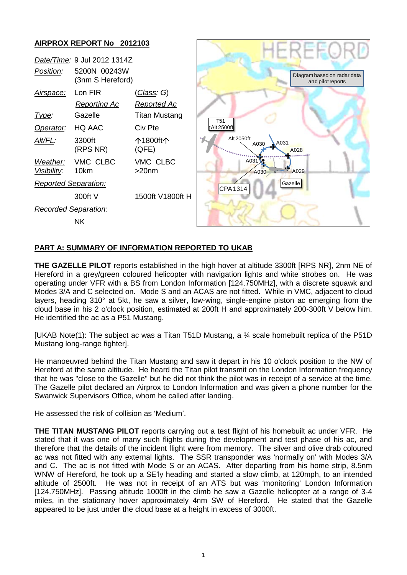

## **PART A: SUMMARY OF INFORMATION REPORTED TO UKAB**

**THE GAZELLE PILOT** reports established in the high hover at altitude 3300ft [RPS NR], 2nm NE of Hereford in a grey/green coloured helicopter with navigation lights and white strobes on. He was operating under VFR with a BS from London Information [124.750MHz], with a discrete squawk and Modes 3/A and C selected on. Mode S and an ACAS are not fitted. While in VMC, adjacent to cloud layers, heading 310° at 5kt, he saw a silver, low-wing, single-engine piston ac emerging from the cloud base in his 2 o'clock position, estimated at 200ft H and approximately 200-300ft V below him. He identified the ac as a P51 Mustang.

[UKAB Note(1): The subject ac was a Titan T51D Mustang, a ¾ scale homebuilt replica of the P51D Mustang long-range fighter].

He manoeuvred behind the Titan Mustang and saw it depart in his 10 o'clock position to the NW of Hereford at the same altitude. He heard the Titan pilot transmit on the London Information frequency that he was "close to the Gazelle" but he did not think the pilot was in receipt of a service at the time. The Gazelle pilot declared an Airprox to London Information and was given a phone number for the Swanwick Supervisors Office, whom he called after landing.

He assessed the risk of collision as 'Medium'.

**THE TITAN MUSTANG PILOT** reports carrying out a test flight of his homebuilt ac under VFR. He stated that it was one of many such flights during the development and test phase of his ac, and therefore that the details of the incident flight were from memory. The silver and olive drab coloured ac was not fitted with any external lights. The SSR transponder was 'normally on' with Modes 3/A and C. The ac is not fitted with Mode S or an ACAS. After departing from his home strip, 8.5nm WNW of Hereford, he took up a SE'ly heading and started a slow climb, at 120mph, to an intended altitude of 2500ft. He was not in receipt of an ATS but was 'monitoring' London Information [124.750MHz]. Passing altitude 1000ft in the climb he saw a Gazelle helicopter at a range of 3-4 miles, in the stationary hover approximately 4nm SW of Hereford. He stated that the Gazelle appeared to be just under the cloud base at a height in excess of 3000ft.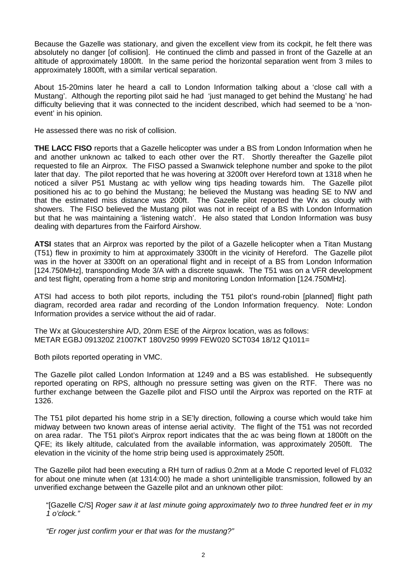Because the Gazelle was stationary, and given the excellent view from its cockpit, he felt there was absolutely no danger [of collision]. He continued the climb and passed in front of the Gazelle at an altitude of approximately 1800ft. In the same period the horizontal separation went from 3 miles to approximately 1800ft, with a similar vertical separation.

About 15-20mins later he heard a call to London Information talking about a 'close call with a Mustang'. Although the reporting pilot said he had 'just managed to get behind the Mustang' he had difficulty believing that it was connected to the incident described, which had seemed to be a 'nonevent' in his opinion.

He assessed there was no risk of collision.

**THE LACC FISO** reports that a Gazelle helicopter was under a BS from London Information when he and another unknown ac talked to each other over the RT. Shortly thereafter the Gazelle pilot requested to file an Airprox. The FISO passed a Swanwick telephone number and spoke to the pilot later that day. The pilot reported that he was hovering at 3200ft over Hereford town at 1318 when he noticed a silver P51 Mustang ac with yellow wing tips heading towards him. The Gazelle pilot positioned his ac to go behind the Mustang; he believed the Mustang was heading SE to NW and that the estimated miss distance was 200ft. The Gazelle pilot reported the Wx as cloudy with showers. The FISO believed the Mustang pilot was not in receipt of a BS with London Information but that he was maintaining a 'listening watch'. He also stated that London Information was busy dealing with departures from the Fairford Airshow.

**ATSI** states that an Airprox was reported by the pilot of a Gazelle helicopter when a Titan Mustang (T51) flew in proximity to him at approximately 3300ft in the vicinity of Hereford. The Gazelle pilot was in the hover at 3300ft on an operational flight and in receipt of a BS from London Information [124.750MHz], transponding Mode 3/A with a discrete squawk. The T51 was on a VFR development and test flight, operating from a home strip and monitoring London Information [124.750MHz].

ATSI had access to both pilot reports, including the T51 pilot's round-robin [planned] flight path diagram, recorded area radar and recording of the London Information frequency. Note: London Information provides a service without the aid of radar.

The Wx at Gloucestershire A/D, 20nm ESE of the Airprox location, was as follows: METAR EGBJ 091320Z 21007KT 180V250 9999 FEW020 SCT034 18/12 Q1011=

Both pilots reported operating in VMC.

The Gazelle pilot called London Information at 1249 and a BS was established. He subsequently reported operating on RPS, although no pressure setting was given on the RTF. There was no further exchange between the Gazelle pilot and FISO until the Airprox was reported on the RTF at 1326.

The T51 pilot departed his home strip in a SE'ly direction, following a course which would take him midway between two known areas of intense aerial activity. The flight of the T51 was not recorded on area radar. The T51 pilot's Airprox report indicates that the ac was being flown at 1800ft on the QFE; its likely altitude, calculated from the available information, was approximately 2050ft. The elevation in the vicinity of the home strip being used is approximately 250ft.

The Gazelle pilot had been executing a RH turn of radius 0.2nm at a Mode C reported level of FL032 for about one minute when (at 1314:00) he made a short unintelligible transmission, followed by an unverified exchange between the Gazelle pilot and an unknown other pilot:

"[Gazelle C/S] *Roger saw it at last minute going approximately two to three hundred feet er in my 1 o'clock."*

*"Er roger just confirm your er that was for the mustang?"*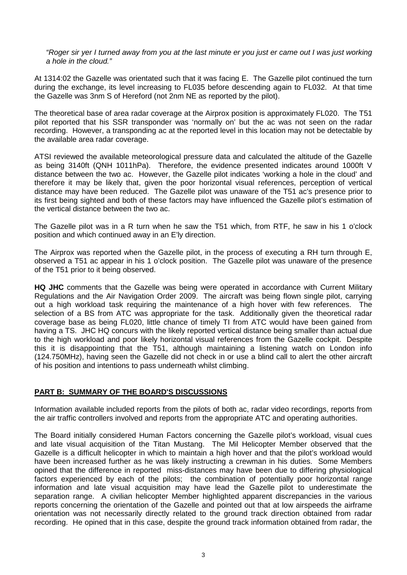*"Roger sir yer I turned away from you at the last minute er you just er came out I was just working a hole in the cloud."*

At 1314:02 the Gazelle was orientated such that it was facing E. The Gazelle pilot continued the turn during the exchange, its level increasing to FL035 before descending again to FL032. At that time the Gazelle was 3nm S of Hereford (not 2nm NE as reported by the pilot).

The theoretical base of area radar coverage at the Airprox position is approximately FL020. The T51 pilot reported that his SSR transponder was 'normally on' but the ac was not seen on the radar recording. However, a transponding ac at the reported level in this location may not be detectable by the available area radar coverage.

ATSI reviewed the available meteorological pressure data and calculated the altitude of the Gazelle as being 3140ft (QNH 1011hPa). Therefore, the evidence presented indicates around 1000ft V distance between the two ac. However, the Gazelle pilot indicates 'working a hole in the cloud' and therefore it may be likely that, given the poor horizontal visual references, perception of vertical distance may have been reduced. The Gazelle pilot was unaware of the T51 ac's presence prior to its first being sighted and both of these factors may have influenced the Gazelle pilot's estimation of the vertical distance between the two ac.

The Gazelle pilot was in a R turn when he saw the T51 which, from RTF, he saw in his 1 o'clock position and which continued away in an E'ly direction.

The Airprox was reported when the Gazelle pilot, in the process of executing a RH turn through E, observed a T51 ac appear in his 1 o'clock position. The Gazelle pilot was unaware of the presence of the T51 prior to it being observed.

**HQ JHC** comments that the Gazelle was being were operated in accordance with Current Military Regulations and the Air Navigation Order 2009. The aircraft was being flown single pilot, carrying out a high workload task requiring the maintenance of a high hover with few references. The selection of a BS from ATC was appropriate for the task. Additionally given the theoretical radar coverage base as being FL020, little chance of timely TI from ATC would have been gained from having a TS. JHC HQ concurs with the likely reported vertical distance being smaller than actual due to the high workload and poor likely horizontal visual references from the Gazelle cockpit. Despite this it is disappointing that the T51, although maintaining a listening watch on London info (124.750MHz), having seen the Gazelle did not check in or use a blind call to alert the other aircraft of his position and intentions to pass underneath whilst climbing.

## **PART B: SUMMARY OF THE BOARD'S DISCUSSIONS**

Information available included reports from the pilots of both ac, radar video recordings, reports from the air traffic controllers involved and reports from the appropriate ATC and operating authorities.

The Board initially considered Human Factors concerning the Gazelle pilot's workload, visual cues and late visual acquisition of the Titan Mustang. The Mil Helicopter Member observed that the Gazelle is a difficult helicopter in which to maintain a high hover and that the pilot's workload would have been increased further as he was likely instructing a crewman in his duties. Some Members opined that the difference in reported miss-distances may have been due to differing physiological factors experienced by each of the pilots; the combination of potentially poor horizontal range information and late visual acquisition may have lead the Gazelle pilot to underestimate the separation range. A civilian helicopter Member highlighted apparent discrepancies in the various reports concerning the orientation of the Gazelle and pointed out that at low airspeeds the airframe orientation was not necessarily directly related to the ground track direction obtained from radar recording. He opined that in this case, despite the ground track information obtained from radar, the